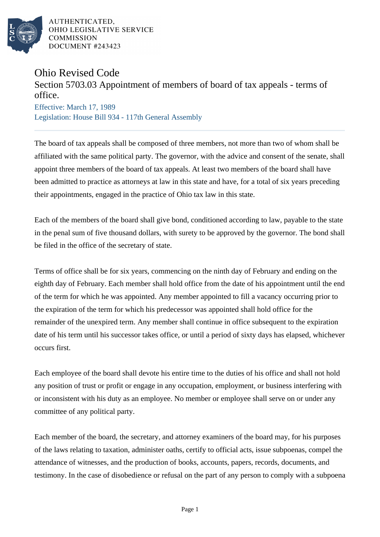

AUTHENTICATED, OHIO LEGISLATIVE SERVICE **COMMISSION** DOCUMENT #243423

## Ohio Revised Code

## Section 5703.03 Appointment of members of board of tax appeals - terms of office.

Effective: March 17, 1989 Legislation: House Bill 934 - 117th General Assembly

The board of tax appeals shall be composed of three members, not more than two of whom shall be affiliated with the same political party. The governor, with the advice and consent of the senate, shall appoint three members of the board of tax appeals. At least two members of the board shall have been admitted to practice as attorneys at law in this state and have, for a total of six years preceding their appointments, engaged in the practice of Ohio tax law in this state.

Each of the members of the board shall give bond, conditioned according to law, payable to the state in the penal sum of five thousand dollars, with surety to be approved by the governor. The bond shall be filed in the office of the secretary of state.

Terms of office shall be for six years, commencing on the ninth day of February and ending on the eighth day of February. Each member shall hold office from the date of his appointment until the end of the term for which he was appointed. Any member appointed to fill a vacancy occurring prior to the expiration of the term for which his predecessor was appointed shall hold office for the remainder of the unexpired term. Any member shall continue in office subsequent to the expiration date of his term until his successor takes office, or until a period of sixty days has elapsed, whichever occurs first.

Each employee of the board shall devote his entire time to the duties of his office and shall not hold any position of trust or profit or engage in any occupation, employment, or business interfering with or inconsistent with his duty as an employee. No member or employee shall serve on or under any committee of any political party.

Each member of the board, the secretary, and attorney examiners of the board may, for his purposes of the laws relating to taxation, administer oaths, certify to official acts, issue subpoenas, compel the attendance of witnesses, and the production of books, accounts, papers, records, documents, and testimony. In the case of disobedience or refusal on the part of any person to comply with a subpoena